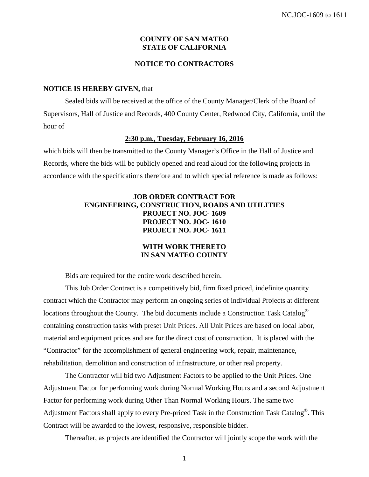## **COUNTY OF SAN MATEO STATE OF CALIFORNIA**

## **NOTICE TO CONTRACTORS**

#### **NOTICE IS HEREBY GIVEN,** that

Sealed bids will be received at the office of the County Manager/Clerk of the Board of Supervisors, Hall of Justice and Records, 400 County Center, Redwood City, California, until the hour of

## **2:30 p.m., Tuesday, February 16, 2016**

which bids will then be transmitted to the County Manager's Office in the Hall of Justice and Records, where the bids will be publicly opened and read aloud for the following projects in accordance with the specifications therefore and to which special reference is made as follows:

## **JOB ORDER CONTRACT FOR ENGINEERING, CONSTRUCTION, ROADS AND UTILITIES PROJECT NO. JOC- 1609 PROJECT NO. JOC- 1610 PROJECT NO. JOC- 1611**

## **WITH WORK THERETO IN SAN MATEO COUNTY**

Bids are required for the entire work described herein.

This Job Order Contract is a competitively bid, firm fixed priced, indefinite quantity contract which the Contractor may perform an ongoing series of individual Projects at different locations throughout the County. The bid documents include a Construction Task Catalog<sup>®</sup> containing construction tasks with preset Unit Prices. All Unit Prices are based on local labor, material and equipment prices and are for the direct cost of construction. It is placed with the "Contractor" for the accomplishment of general engineering work, repair, maintenance, rehabilitation, demolition and construction of infrastructure, or other real property.

The Contractor will bid two Adjustment Factors to be applied to the Unit Prices. One Adjustment Factor for performing work during Normal Working Hours and a second Adjustment Factor for performing work during Other Than Normal Working Hours. The same two Adjustment Factors shall apply to every Pre-priced Task in the Construction Task Catalog<sup>®</sup>. This Contract will be awarded to the lowest, responsive, responsible bidder.

Thereafter, as projects are identified the Contractor will jointly scope the work with the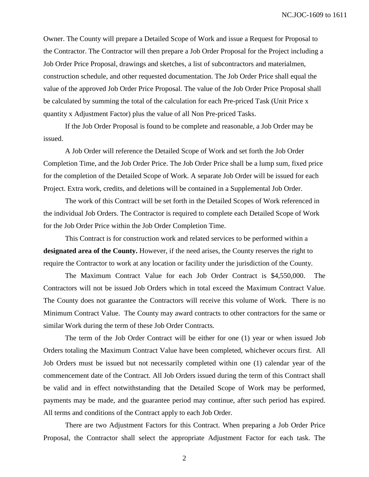Owner. The County will prepare a Detailed Scope of Work and issue a Request for Proposal to the Contractor. The Contractor will then prepare a Job Order Proposal for the Project including a Job Order Price Proposal, drawings and sketches, a list of subcontractors and materialmen, construction schedule, and other requested documentation. The Job Order Price shall equal the value of the approved Job Order Price Proposal. The value of the Job Order Price Proposal shall be calculated by summing the total of the calculation for each Pre-priced Task (Unit Price x quantity x Adjustment Factor) plus the value of all Non Pre-priced Tasks.

If the Job Order Proposal is found to be complete and reasonable, a Job Order may be issued.

A Job Order will reference the Detailed Scope of Work and set forth the Job Order Completion Time, and the Job Order Price. The Job Order Price shall be a lump sum, fixed price for the completion of the Detailed Scope of Work. A separate Job Order will be issued for each Project. Extra work, credits, and deletions will be contained in a Supplemental Job Order.

The work of this Contract will be set forth in the Detailed Scopes of Work referenced in the individual Job Orders. The Contractor is required to complete each Detailed Scope of Work for the Job Order Price within the Job Order Completion Time.

This Contract is for construction work and related services to be performed within a **designated area of the County.** However, if the need arises, the County reserves the right to require the Contractor to work at any location or facility under the jurisdiction of the County.

The Maximum Contract Value for each Job Order Contract is \$4,550,000. The Contractors will not be issued Job Orders which in total exceed the Maximum Contract Value. The County does not guarantee the Contractors will receive this volume of Work. There is no Minimum Contract Value. The County may award contracts to other contractors for the same or similar Work during the term of these Job Order Contracts.

The term of the Job Order Contract will be either for one (1) year or when issued Job Orders totaling the Maximum Contract Value have been completed, whichever occurs first. All Job Orders must be issued but not necessarily completed within one (1) calendar year of the commencement date of the Contract. All Job Orders issued during the term of this Contract shall be valid and in effect notwithstanding that the Detailed Scope of Work may be performed, payments may be made, and the guarantee period may continue, after such period has expired. All terms and conditions of the Contract apply to each Job Order.

There are two Adjustment Factors for this Contract. When preparing a Job Order Price Proposal, the Contractor shall select the appropriate Adjustment Factor for each task. The

2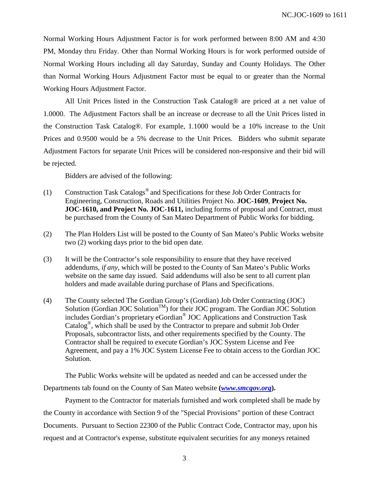Normal Working Hours Adjustment Factor is for work performed between 8:00 AM and 4:30 PM, Monday thru Friday. Other than Normal Working Hours is for work performed outside of Normal Working Hours including all day Saturday, Sunday and County Holidays. The Other than Normal Working Hours Adjustment Factor must be equal to or greater than the Normal Working Hours Adjustment Factor.

All Unit Prices listed in the Construction Task Catalog® are priced at a net value of 1.0000. The Adjustment Factors shall be an increase or decrease to all the Unit Prices listed in the Construction Task Catalog®. For example, 1.1000 would be a 10% increase to the Unit Prices and 0.9500 would be a 5% decrease to the Unit Prices. Bidders who submit separate Adjustment Factors for separate Unit Prices will be considered non-responsive and their bid will be rejected.

Bidders are advised of the following:

- (1) Construction Task Catalogs® and Specifications for these Job Order Contracts for Engineering, Construction, Roads and Utilities Project No. **JOC-1609**, **Project No. JOC-1610, and Project No. JOC-1611,** including forms of proposal and Contract, must be purchased from the County of San Mateo Department of Public Works for bidding.
- (2) The Plan Holders List will be posted to the County of San Mateo's Public Works website two (2) working days prior to the bid open date.
- (3) It will be the Contractor's sole responsibility to ensure that they have received addendums, *if any,* which will be posted to the County of San Mateo's Public Works website on the same day issued. Said addendums will also be sent to all current plan holders and made available during purchase of Plans and Specifications.
- (4) The County selected The Gordian Group's (Gordian) Job Order Contracting (JOC) Solution (Gordian JOC Solution<sup>TM</sup>) for their JOC program. The Gordian JOC Solution includes Gordian's proprietary eGordian® JOC Applications and Construction Task Catalog<sup>®</sup>, which shall be used by the Contractor to prepare and submit Job Order Proposals, subcontractor lists, and other requirements specified by the County. The Contractor shall be required to execute Gordian's JOC System License and Fee Agreement, and pay a 1% JOC System License Fee to obtain access to the Gordian JOC Solution.

The Public Works website will be updated as needed and can be accessed under the Departments tab found on the County of San Mateo website **(***[www.s](http://www./)mcgov.org***).**

Payment to the Contractor for materials furnished and work completed shall be made by the County in accordance with Section 9 of the "Special Provisions" portion of these Contract Documents. Pursuant to Section 22300 of the Public Contract Code, Contractor may, upon his request and at Contractor's expense, substitute equivalent securities for any moneys retained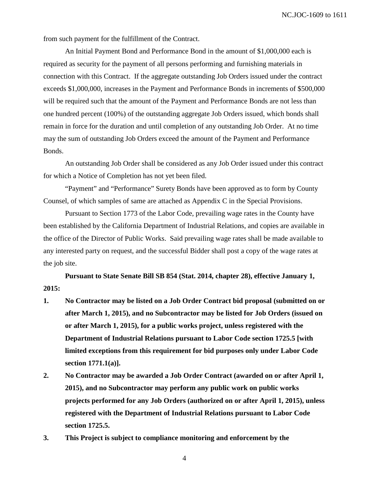from such payment for the fulfillment of the Contract.

An Initial Payment Bond and Performance Bond in the amount of \$1,000,000 each is required as security for the payment of all persons performing and furnishing materials in connection with this Contract. If the aggregate outstanding Job Orders issued under the contract exceeds \$1,000,000, increases in the Payment and Performance Bonds in increments of \$500,000 will be required such that the amount of the Payment and Performance Bonds are not less than one hundred percent (100%) of the outstanding aggregate Job Orders issued, which bonds shall remain in force for the duration and until completion of any outstanding Job Order. At no time may the sum of outstanding Job Orders exceed the amount of the Payment and Performance Bonds.

An outstanding Job Order shall be considered as any Job Order issued under this contract for which a Notice of Completion has not yet been filed.

"Payment" and "Performance" Surety Bonds have been approved as to form by County Counsel, of which samples of same are attached as Appendix C in the Special Provisions.

Pursuant to Section 1773 of the Labor Code, prevailing wage rates in the County have been established by the California Department of Industrial Relations, and copies are available in the office of the Director of Public Works. Said prevailing wage rates shall be made available to any interested party on request, and the successful Bidder shall post a copy of the wage rates at the job site.

**Pursuant to State Senate Bill SB 854 (Stat. 2014, chapter 28), effective January 1, 2015:**

- **1. No Contractor may be listed on a Job Order Contract bid proposal (submitted on or after March 1, 2015), and no Subcontractor may be listed for Job Orders (issued on or after March 1, 2015), for a public works project, unless registered with the Department of Industrial Relations pursuant to Labor Code section 1725.5 [with limited exceptions from this requirement for bid purposes only under Labor Code section 1771.1(a)].**
- **2. No Contractor may be awarded a Job Order Contract (awarded on or after April 1, 2015), and no Subcontractor may perform any public work on public works projects performed for any Job Orders (authorized on or after April 1, 2015), unless registered with the Department of Industrial Relations pursuant to Labor Code section 1725.5.**
- **3. This Project is subject to compliance monitoring and enforcement by the**

4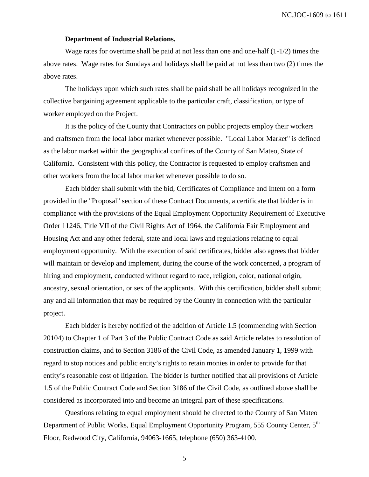NC.JOC-1609 to 1611

## **Department of Industrial Relations.**

Wage rates for overtime shall be paid at not less than one and one-half (1-1/2) times the above rates. Wage rates for Sundays and holidays shall be paid at not less than two (2) times the above rates.

The holidays upon which such rates shall be paid shall be all holidays recognized in the collective bargaining agreement applicable to the particular craft, classification, or type of worker employed on the Project.

It is the policy of the County that Contractors on public projects employ their workers and craftsmen from the local labor market whenever possible. "Local Labor Market" is defined as the labor market within the geographical confines of the County of San Mateo, State of California. Consistent with this policy, the Contractor is requested to employ craftsmen and other workers from the local labor market whenever possible to do so.

Each bidder shall submit with the bid, Certificates of Compliance and Intent on a form provided in the "Proposal" section of these Contract Documents, a certificate that bidder is in compliance with the provisions of the Equal Employment Opportunity Requirement of Executive Order 11246, Title VII of the Civil Rights Act of 1964, the California Fair Employment and Housing Act and any other federal, state and local laws and regulations relating to equal employment opportunity. With the execution of said certificates, bidder also agrees that bidder will maintain or develop and implement, during the course of the work concerned, a program of hiring and employment, conducted without regard to race, religion, color, national origin, ancestry, sexual orientation, or sex of the applicants. With this certification, bidder shall submit any and all information that may be required by the County in connection with the particular project.

Each bidder is hereby notified of the addition of Article 1.5 (commencing with Section 20104) to Chapter 1 of Part 3 of the Public Contract Code as said Article relates to resolution of construction claims, and to Section 3186 of the Civil Code, as amended January 1, 1999 with regard to stop notices and public entity's rights to retain monies in order to provide for that entity's reasonable cost of litigation. The bidder is further notified that all provisions of Article 1.5 of the Public Contract Code and Section 3186 of the Civil Code, as outlined above shall be considered as incorporated into and become an integral part of these specifications.

Questions relating to equal employment should be directed to the County of San Mateo Department of Public Works, Equal Employment Opportunity Program, 555 County Center, 5<sup>th</sup> Floor, Redwood City, California, 94063-1665, telephone (650) 363-4100.

5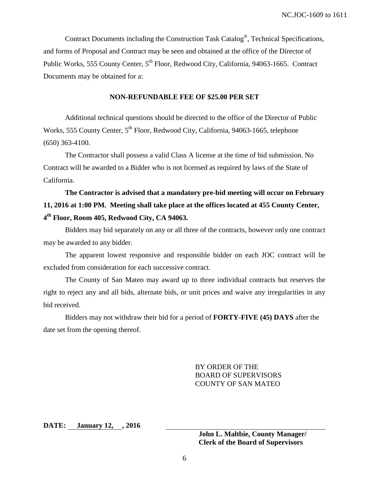Contract Documents including the Construction Task Catalog®, Technical Specifications, and forms of Proposal and Contract may be seen and obtained at the office of the Director of Public Works, 555 County Center, 5<sup>th</sup> Floor, Redwood City, California, 94063-1665. Contract Documents may be obtained for a:

#### **NON-REFUNDABLE FEE OF \$25.00 PER SET**

Additional technical questions should be directed to the office of the Director of Public Works, 555 County Center, 5<sup>th</sup> Floor, Redwood City, California, 94063-1665, telephone (650) 363-4100.

The Contractor shall possess a valid Class A license at the time of bid submission. No Contract will be awarded to a Bidder who is not licensed as required by laws of the State of California.

# **The Contractor is advised that a mandatory pre-bid meeting will occur on February 11, 2016 at 1:00 PM. Meeting shall take place at the offices located at 455 County Center, 4th Floor, Room 405, Redwood City, CA 94063.**

Bidders may bid separately on any or all three of the contracts, however only one contract may be awarded to any bidder.

The apparent lowest responsive and responsible bidder on each JOC contract will be excluded from consideration for each successive contract.

The County of San Mateo may award up to three individual contracts but reserves the right to reject any and all bids, alternate bids, or unit prices and waive any irregularities in any bid received.

Bidders may not withdraw their bid for a period of **FORTY-FIVE (45) DAYS** after the date set from the opening thereof.

> BY ORDER OF THE BOARD OF SUPERVISORS COUNTY OF SAN MATEO

**DATE: January 12, , 2016**

**John L. Maltbie, County Manager/ Clerk of the Board of Supervisors**